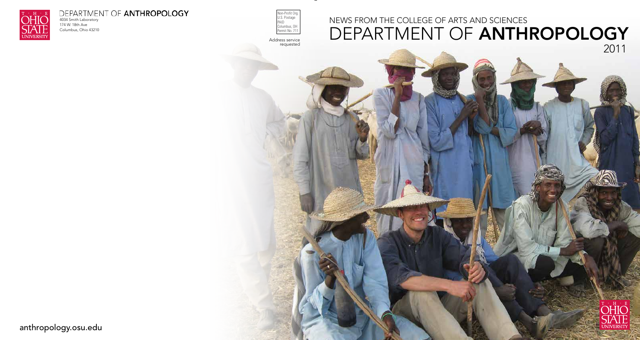

4034 Smith Laboratory 174 W. 18th Ave Columbus, Ohio 43210



Address service requested





# news from The COLLEGE OF ARTS AND SCIENCES DEPARTMENT OF ANTHROPOLOGY 2011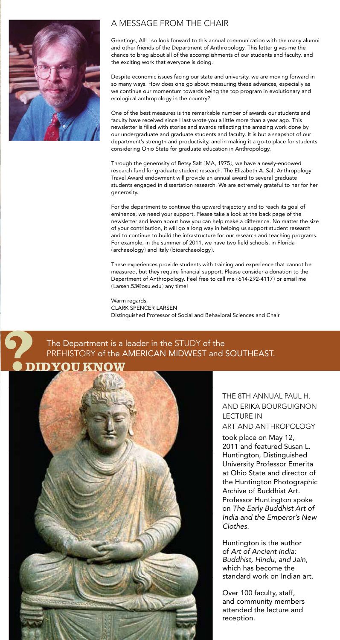Greetings, All! I so look forward to this annual communication with the many alumni and other friends of the Department of Anthropology. This letter gives me the chance to brag about all of the accomplishments of our students and faculty, and the exciting work that everyone is doing.

Despite economic issues facing our state and university, we are moving forward in so many ways. How does one go about measuring these advances, especially as we continue our momentum towards being the top program in evolutionary and ecological anthropology in the country?

One of the best measures is the remarkable number of awards our students and faculty have received since I last wrote you a little more than a year ago. This newsletter is filled with stories and awards reflecting the amazing work done by our undergraduate and graduate students and faculty. It is but a snapshot of our department's strength and productivity, and in making it a go-to place for students considering Ohio State for graduate education in Anthropology.

Through the generosity of Betsy Salt (MA, 1975), we have a newly-endowed research fund for graduate student research. The Elizabeth A. Salt Anthropology Travel Award endowment will provide an annual award to several graduate students engaged in dissertation research. We are extremely grateful to her for her generosity.

For the department to continue this upward trajectory and to reach its goal of eminence, we need your support. Please take a look at the back page of the newsletter and learn about how you can help make a difference. No matter the size of your contribution, it will go a long way in helping us support student research and to continue to build the infrastructure for our research and teaching programs. For example, in the summer of 2011, we have two field schools, in Florida (archaeology) and Italy (bioarchaeology).

These experiences provide students with training and experience that cannot be measured, but they require financial support. Please consider a donation to the Department of Anthropology. Feel free to call me (614-292-4117) or email me (Larsen.53@osu.edu) any time!

Warm regards, Clark Spencer Larsen Distinguished Professor of Social and Behavioral Sciences and Chair

### The Department is a leader in the STUDY of the PREHISTORY of the AMERICAN MIDWEST and SOUTHEAST.





### a message from THE chair

THE 8TH ANNUAL PAUL H. AND ERIKA BOURGUIGNON LECTURE IN ART AND ANTHROPOLOGY

took place on May 12, 2011 and featured Susan L. Huntington, Distinguished University Professor Emerita at Ohio State and director of the Huntington Photographic Archive of Buddhist Art. Professor Huntington spoke on *The Early Buddhist Art of India and the Emperor's New Clothes*.

Huntington is the author of *Art of Ancient India: Buddhist, Hindu, and Jain,* which has become the standard work on Indian art.

Over 100 faculty, staff, and community members attended the lecture and reception.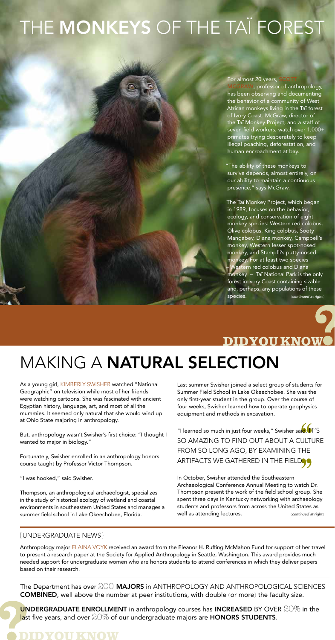# THE MONKEYS OF THE TAÏ FOREST

#### For almost 20 years,

I, professor of anthropology, has been observing and documenting the behavior of a community of West African monkeys living in the Taï forest of Ivory Coast. McGraw, director of the Taï Monkey Project, and a staff of seven field workers, watch over 1,000+ primates trying desperately to keep illegal poaching, deforestation, and human encroachment at bay.

"The ability of these monkeys to survive depends, almost entirely, on our ability to maintain a continuous presence," says McGraw.

Anthropology major ELAINA VOYK received an award from the Eleanor H. Ruffing McMahon Fund for support of her travel to present a research paper at the Society for Applied Anthropology in Seattle, Washington. This award provides much needed support for undergraduate women who are honors students to attend conferences in which they deliver papers based on their research.

The Department has over  $200$  **MAJORS** in ANTHROPOLOGY AND ANTHROPOLOGICAL SCIENCES **COMBINED**, well above the number at peer institutions, with double (or more) the faculty size.

UNDERGRADUATE ENROLLMENT in anthropology courses has INCREASED BY OVER 20% in the last five years, and over  $20\%$  of our undergraduate majors are HONORS STUDENTS.

As a young girl, KIMBERLY SWISHER watched "National Geographic" on television while most of her friends were watching cartoons. She was fascinated with ancient Egyptian history, language, art, and most of all the mummies. It seemed only natural that she would wind up at Ohio State majoring in anthropology.

The Taï Monkey Project, which began in 1989, focuses on the behavior, ecology, and conservation of eight monkey species: Western red colobus, Olive colobus, King colobus, Sooty Mangabey, Diana monkey, Campbell's monkey, Western lesser spot-nosed monkey, and Stampfli's putty-nosed monkey. For at least two species – Western red colobus and Diana monkey – Taï National Park is the only forest in Ivory Coast containing sizable and, perhaps, any populations of these species. (*continued at right* )



But, anthropology wasn't Swisher's first choice: "I thought I wanted to major in biology."

Fortunately, Swisher enrolled in an anthropology honors course taught by Professor Victor Thompson.

"I was hooked," said Swisher.

Thompson, an anthropological archaeologist, specializes in the study of historical ecology of wetland and coastal environments in southeastern United States and manages a summer field school in Lake Okeechobee, Florida.

# making a natural selection

### {undergraduate news}

Last summer Swisher joined a select group of students for Summer Field School in Lake Okeechobee. She was the only first-year student in the group. Over the course of four weeks, Swisher learned how to operate geophysics equipment and methods in excavation.

"I learned so much in just four weeks," Swisher sai<mark>d. I</mark>T'S so amazing to find out about a culture from so long ago, by examining the ARTIFACTS WE GATHERED IN THE FIELDOG

In October, Swisher attended the Southeastern Archaeological Conference Annual Meeting to watch Dr. Thompson present the work of the field school group. She spent three days in Kentucky networking with archaeology students and professors from across the United States as well as attending lectures. (*continued at right* )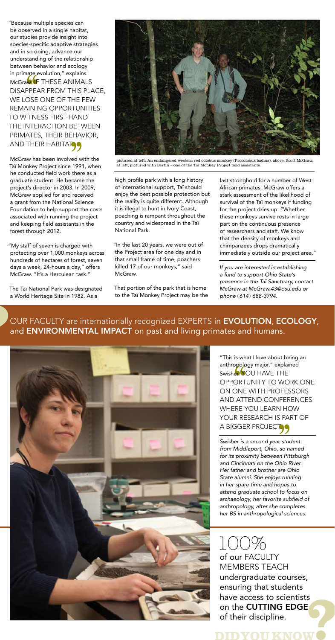high profile park with a long history of international support, Taï should enjoy the best possible protection but the reality is quite different. Although it is illegal to hunt in Ivory Coast, poaching is rampant throughout the country and widespread in the Taï National Park.

"In the last 20 years, we were out of the Project area for one day and in that small frame of time, poachers killed 17 of our monkeys," said McGraw.

That portion of the park that is home to the Taï Monkey Project may be the

last stronghold for a number of West African primates. McGraw offers a stark assessment of the likelihood of survival of the Taï monkeys if funding for the project dries up: "Whether these monkeys survive rests in large part on the continuous presence of researchers and staff. We know that the density of monkeys and chimpanzees drops dramatically immediately outside our project area."

"Because multiple species can be observed in a single habitat, our studies provide insight into species-specific adaptive strategies and in so doing, advance our understanding of the relationship between behavior and ecology in primate evolution," explains McGraw<sup>1</sup>F THESE ANIMALS disappear from this place, we lose one of the few remaining opportunities to witness first-hand the interaction between primates, their behavior, AND THEIR HABITATES

> *If you are interested in establishing a fund to support Ohio State's presence in the Taï Sanctuary, contact McGraw at McGraw.43@osu.edu or phone* (*614*) *688-3794.*

OUR FACULTY are internationally recognized EXPERTS in EVOLUTION, ECOLOGY, and **ENVIRONMENTAL IMPACT** on past and living primates and humans.





pictured at left: An endangered western red colobus monkey (Procolobus badius), above: Scott McGraw, at left, pictured with Bertin – one of the Tai Monkey Project field assistants.

"This is what I love about being an anthropology major," explained Swisher. YOU HAVE THE opportunity to work one on one with professors and attend conferences where you learn how YOUR RESEARCH IS PART OF A BIGGER PROJECT.

McGraw has been involved with the Taï Monkey Project since 1991, when he conducted field work there as a graduate student. He became the project's director in 2003. In 2009, McGraw applied for and received a grant from the National Science Foundation to help support the costs associated with running the project and keeping field assistants in the forest through 2012.

"My staff of seven is charged with protecting over 1,000 monkeys across hundreds of hectares of forest, seven days a week, 24-hours a day," offers McGraw. "It's a Herculean task."

The Taï National Park was designated a World Heritage Site in 1982. As a

> *Swisher is a second year student from Middleport, Ohio, so named for its proximity between Pittsburgh and Cincinnati on the Ohio River. Her father and brother are Ohio State alumni. She enjoys running in her spare time and hopes to attend graduate school to focus on archaeology, her favorite subfield of anthropology, after she completes her BS in anthropological sciences.*

of our FACULTY members teach undergraduate courses, ensuring that students have access to scientists on the **CUTTING EDGE** of their discipline.  $1()()$ %

DIDYOH KN(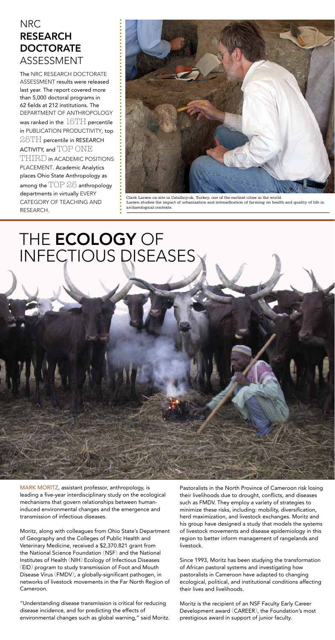MARK MORITZ, assistant professor, anthropology, is leading a five-year interdisciplinary study on the ecological

mechanisms that govern relationships between humaninduced environmental changes and the emergence and transmission of infectious diseases.

# THE **ECOLOGY** OF Infectious Diseases

Moritz, along with colleagues from Ohio State's Department of Geography and the Colleges of Public Health and Veterinary Medicine, received a \$2,370.821 grant from the National Science Foundation (NSF) and the National Institutes of Health (NIH) Ecology of Infectious Diseases (EID) program to study transmission of Foot and Mouth Disease Virus (FMDV), a globally-significant pathogen, in networks of livestock movements in the Far North Region of Cameroon.

"Understanding disease transmission is critical for reducing disease incidence, and for predicting the effects of environmental changes such as global warning," said Moritz. Pastoralists in the North Province of Cameroon risk losing their livelihoods due to drought, conflicts, and diseases

The NRC RESEARCH DOCTORATE ASSESSMENT results were released last year. The report covered more than 5,000 doctoral programs in 62 fields at 212 institutions. The Department of Anthropology was ranked in the  $15TH$  percentile in PUBLICATION PRODUCTIVITY, top  $25TH$  percentile in RESEARCH ACTIVITY, and  $\text{TOP}$  ONE THIRD in academic positions PLACEMENT. Academic Analytics places Ohio State Anthropology as among the  $\text{TOP 25}$  anthropology departments in virtually EVERY category of teaching and research.

> such as FMDV. They employ a variety of strategies to minimize these risks, including: mobility, diversification, herd maximization, and livestock exchanges. Moritz and his group have designed a study that models the systems of livestock movements and disease epidemiology in this region to better inform management of rangelands and livestock.

> Since 1993, Moritz has been studying the transformation of African pastoral systems and investigating how pastoralists in Cameroon have adapted to changing ecological, political, and institutional conditions affecting their lives and livelihoods.

Moritz is the recipient of an NSF Faculty Early Career Development award (CAREER), the Foundation's most prestigious award in support of junior faculty.

## NRC RESEARCH DOCTORATE ASSESSMENT



Clark Larsen on site in Catalhoyuk, Turkey, one of the earliest cities in the world. Larsen studies the impact of urbanization and intensification of farming on health and quality of life in archaeological contexts.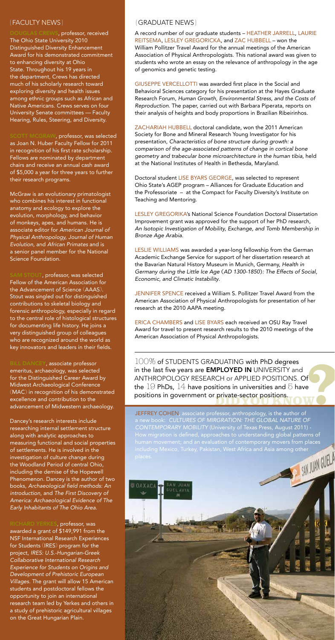A record number of our graduate students - HEATHER JARRELL, LAURIE REITSEMA, LESLEY GREGORICKA, and ZAC HUBBELL - won the William Pollitzer Travel Award for the annual meetings of the American Association of Physical Anthropologists. This national award was given to students who wrote an essay on the relevance of anthropology in the age of genomics and genetic testing.

GIUSEPPE VERCELLOTTI was awarded first place in the Social and Behavioral Sciences category for his presentation at the Hayes Graduate Research Forum, *Human Growth, Environmental Stress, and the Costs of Reproduction*. The paper, carried out with Barbara Piperata, reports on their analysis of heights and body proportions in Brazilian Ribeirinhos.

ZACHARIAH HUBBELL doctoral candidate, won the 2011 American Society for Bone and Mineral Research Young Investigator for his presentation, *Characteristics of bone structure during growth: a comparison of the age-associated patterns of change in cortical bone geometry and trabecular bone microarchitecture in the human tibia*, held at the National Institutes of Health in Bethesda, Maryland.

Doctoral student LISE BYARS GEORGE, was selected to represent Ohio State's AGEP program – Alliances for Graduate Education and the Professoriate – at the Compact for Faculty Diversity's Institute on Teaching and Mentoring.

LESLIE WILLIAMS was awarded a year-long fellowship from the German Academic Exchange Service for support of her dissertation research at the Bavarian Natural History Museum in Munich, Germany, *Health in Germany during the Little Ice Age* (*AD 1300-1850*)*: The Effects of Social, Economic, and Climatic Instability*.

JENNIFER SPENCE received a William S. Pollitzer Travel Award from the American Association of Physical Anthropologists for presentation of her research at the 2010 AAPA meeting.

ERICA CHAMBERS and LISE BYARS each received an OSU Ray Travel Award for travel to present research results to the 2010 meetings of the American Association of Physical Anthropologists.

VS, professor, received The Ohio State University 2010 Distinguished Diversity Enhancement Award for his demonstrated commitment to enhancing diversity at Ohio State. Throughout his 19 years in the department, Crews has directed much of his scholarly research toward exploring diversity and health issues among ethnic groups such as African and Native Americans. Crews serves on four University Senate committees — Faculty Hearing, Rules, Steering, and Diversity.

> Lesley Gregorika's National Science Foundation Doctoral Dissertation Improvement grant was approved for the support of her PhD research, *An Isotopic Investigation of Mobility, Exchange, and Tomb Membership in Bronze Age Arabia*.

SCOTT MCGRAW, professor, was selected as Joan N. Huber Faculty Fellow for 2011 in recognition of his first rate scholarship. Fellows are nominated by department chairs and receive an annual cash award of \$5,000 a year for three years to further their research programs.

AM STOUT, professor, was selected Fellow of the American Association for the Advancement of Science (AAAS). Stout was singled out for distinguished contributions to skeletal biology and forensic anthropology, especially in regard to the central role of histological structures for documenting life history. He joins a very distinguished group of colleagues who are recognized around the world as key innovators and leaders in their fields.

BILL DANCEY, associate professor emeritus, archaeology, was selected for the Distinguished Career Award by Midwest Archaeological Conference (MAC) in recognition of his demonstrated excellence and contribution to the advancement of Midwestern archaeology.

100% of STUDENTS GRADUATING with PhD degrees in the last five years are **EMPLOYED IN** UNIVERSITY and anthropology research or applied positions. Of the  $19$  PhDs,  $14$  have positions in universities and  $5$  have positions in government or private-sector positions.

JEFFREY COHEN, associate professor, anthropology, is the author of a new book: *CULTURES OF MIRGRATION: THE GLOBAL NATURE OF CONtEMPORARY MOBILITY* (University of Texas Press, August 2011) - How migration is defined, approaches to understanding global patterns of human movement; and an evaluation of contemporary movers from places including Mexico, Turkey, Pakistan, West Africa and Asia among other



McGraw is an evolutionary primatologist who combines his interest in functional anatomy and ecology to explore the evolution, morphology, and behavior of monkeys, apes, and humans. He is associate editor for *American Journal of Physical Anthropology, Journal of Human Evolution,* and *African Primates* and is a senior panel member for the National Science Foundation.

Dancey's research interests include researching internal settlement structure along with analytic approaches to measuring functional and social properties of settlements. He is involved in the investigation of culture change during the Woodland Period of central Ohio, including the demise of the Hopewell Phenomenon. Dancey is the author of two books, *Archaeological field methods: An introduction*, and *The First Discovery of America: Archaeological Evidence of The Early Inhabitants of The Ohio Area*.

### ${FACULTY NEWS}$   ${GRADUATE NEWS}$

Richard Yerkes, professor, was awarded a grant of \$149,991 from the NSF International Research Experiences for Students (IRES) program for the project, *IRES: U.S.-Hungarian-Greek Collaborative International Research Experience for Students on Origins and Development of Prehistoric European Villages*. The grant will allow 15 American students and postdoctoral fellows the opportunity to join an international research team led by Yerkes and others in a study of prehistoric agricultural villages on the Great Hungarian Plain.

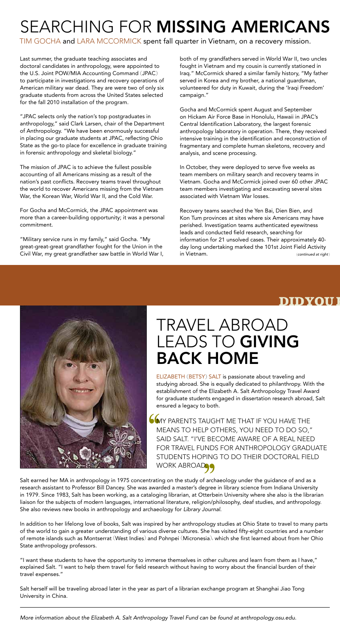# SEARCHING FOR MISSING AMERICANS

TIM GOCHA and LARA MCCORMICK spent fall quarter in Vietnam, on a recovery mission.

# travel abroad LEADS TO GIVING back home

ELIZABETH (BETSY) SALT is passionate about traveling and studying abroad. She is equally dedicated to philanthropy. With the establishment of the Elizabeth A. Salt Anthropology Travel Award for graduate students engaged in dissertation research abroad, Salt ensured a legacy to both.

**COMY PARENTS TAUGHT ME THAT IF YOU HAVE THE** means to help others, you need to do so," said Salt. "I've become aware of a real need for travel funds for anthropology graduate students hoping to do their doctoral field WORK ABROAD.

Salt earned her MA in anthropology in 1975 concentrating on the study of archaeology under the guidance of and as a research assistant to Professor Bill Dancey. She was awarded a master's degree in library science from Indiana University in 1979. Since 1983, Salt has been working, as a cataloging librarian, at Otterbein University where she also is the librarian



liaison for the subjects of modern languages, international literature, religion/philosophy, deaf studies, and anthropology. She also reviews new books in anthropology and archaeology for *Library Journal*.

In addition to her lifelong love of books, Salt was inspired by her anthropology studies at Ohio State to travel to many parts of the world to gain a greater understanding of various diverse cultures. She has visited fifty-eight countries and a number of remote islands such as Montserrat (West Indies) and Pohnpei (Micronesia), which she first learned about from her Ohio State anthropology professors.

"I want these students to have the opportunity to immerse themselves in other cultures and learn from them as I have," explained Salt. "I want to help them travel for field research without having to worry about the financial burden of their travel expenses."

Salt herself will be traveling abroad later in the year as part of a librarian exchange program at Shanghai Jiao Tong University in China.

*More information about the Elizabeth A. Salt Anthropology Travel Fund can be found at anthropology.osu.edu.*

Last summer, the graduate teaching associates and doctoral candidates in anthropology, were appointed to the U.S. Joint POW/MIA Accounting Command (JPAC) to participate in investigations and recovery operations of American military war dead. They are were two of only six graduate students from across the United States selected for the fall 2010 installation of the program.

"JPAC selects only the nation's top postgraduates in anthropology," said Clark Larsen, chair of the Department of Anthropology. "We have been enormously successful in placing our graduate students at JPAC, reflecting Ohio State as the go-to place for excellence in graduate training in forensic anthropology and skeletal biology."

The mission of JPAC is to achieve the fullest possible accounting of all Americans missing as a result of the nation's past conflicts. Recovery teams travel throughout the world to recover Americans missing from the Vietnam War, the Korean War, World War II, and the Cold War.

For Gocha and McCormick, the JPAC appointment was more than a career-building opportunity; it was a personal commitment.

"Military service runs in my family," said Gocha. "My great-great-great grandfather fought for the Union in the Civil War, my great grandfather saw battle in World War I,

both of my grandfathers served in World War II, two uncles fought in Vietnam and my cousin is currently stationed in Iraq." McCormick shared a similar family history, "My father served in Korea and my brother, a national guardsman, volunteered for duty in Kuwait, during the 'Iraqi Freedom' campaign."

Gocha and McCormick spent August and September on Hickam Air Force Base in Honolulu, Hawaii in JPAC's Central Identification Laboratory, the largest forensic anthropology laboratory in operation. There, they received intensive training in the identification and reconstruction of fragmentary and complete human skeletons, recovery and analysis, and scene processing.

In October, they were deployed to serve five weeks as team members on military search and recovery teams in Vietnam. Gocha and McCormick joined over 60 other JPAC team members investigating and excavating several sites associated with Vietnam War losses.

Recovery teams searched the Yen Bai, Dien Bien, and Kon Tum provinces at sites where six Americans may have perished. Investigation teams authenticated eyewitness leads and conducted field research, searching for information for 21 unsolved cases. Their approximately 40 day long undertaking marked the 101st Joint Field Activity in Vietnam. (*continued at right* )

## **DIDYOU**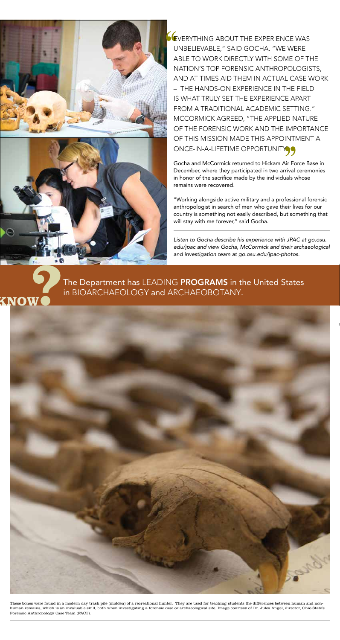



**EVERYTHING ABOUT THE EXPERIENCE WAS** unbelievable," said Gocha. "We were able to work directly with some of the nation's top forensic anthropologists, and at times aid them in actual case work – the hands-on experience in the field is what truly set the experience apart from a traditional academic setting." McCormick agreed, "The applied nature of the forensic work and the importance of this mission made this appointment a ONCE-IN-A-LIFETIME OPPORTUNITY

These bones were found in a modern day trash pile (midden) of a recreational hunter. They are used for teaching students the differences between human and nonhuman remains, which is an invaluable skill, both when investigating a forensic case or archaeological site. Image courtesy of Dr. Jules Angel, director, Ohio State's Forensic Anthropology Case Team (FACT).

The Department has LEADING PROGRAMS in the United States in bioarchaeology and archaeobotany.



Gocha and McCormick returned to Hickam Air Force Base in December, where they participated in two arrival ceremonies in honor of the sacrifice made by the individuals whose remains were recovered.

"Working alongside active military and a professional forensic anthropologist in search of men who gave their lives for our country is something not easily described, but something that will stay with me forever," said Gocha.

*Listen to Gocha describe his experience with JPAC at go.osu. edu/jpac and view Gocha, McCormick and their archaeological and investigation team at go.osu.edu/jpac-photos.*

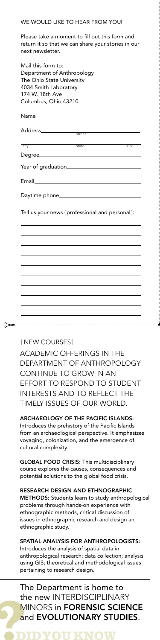| Mail this form to:<br>Department of Anthropology<br>The Ohio State University<br>4034 Smith Laboratory<br>174 W. 18th Ave<br>Columbus, Ohio 43210 |     |
|---------------------------------------------------------------------------------------------------------------------------------------------------|-----|
| Name <b>Name</b>                                                                                                                                  |     |
| street                                                                                                                                            |     |
| $\overline{\text{state}}$<br>$\overline{city}$                                                                                                    | zip |
| Degree                                                                                                                                            |     |
|                                                                                                                                                   |     |
| Email 2008                                                                                                                                        |     |
|                                                                                                                                                   |     |
| Tell us your news (professional and personal):                                                                                                    |     |
|                                                                                                                                                   |     |
|                                                                                                                                                   |     |
|                                                                                                                                                   |     |
|                                                                                                                                                   |     |
|                                                                                                                                                   |     |
|                                                                                                                                                   |     |
|                                                                                                                                                   |     |
|                                                                                                                                                   |     |
|                                                                                                                                                   |     |
|                                                                                                                                                   |     |

#### WE WOULD LIKE TO HEAR FROM YOU!

Please take a moment to fill out this form and return it so that we can share your stories in our next newsletter.

**GLOBAL FOOD CRISIS: This multidisciplinary** course explores the causes, consequences and potential solutions to the global food crisis.

Academic offerings in the Department of Anthropology continue to grow in an effort to respond to student interests and to reflect the timely issues of our world.

. . . . . **. . . . . . . . .** 

Archaeology of the Pacific Islands: Introduces the prehistory of the Pacific Islands from an archaeological perspective. It emphasizes voyaging, colonization, and the emergence of cultural complexity.

Research Design and Ethnographic **METHODS:** Students learn to study anthropological problems through hands-on experience with ethnographic methods, critical discussion of issues in ethnographic research and design an ethnographic study.

#### Spatial Analysis for Anthropologists:

Introduces the analysis of spatial data in anthropological research; data collection; analysis using GIS; theoretical and methodological issues pertaining to research design.

### The Department is home to the new INTERDISCIPLINARY MINORS in **FORENSIC SCIENCE** and **EVOLUTIONARY STUDIES**.

{NEW COURSES}